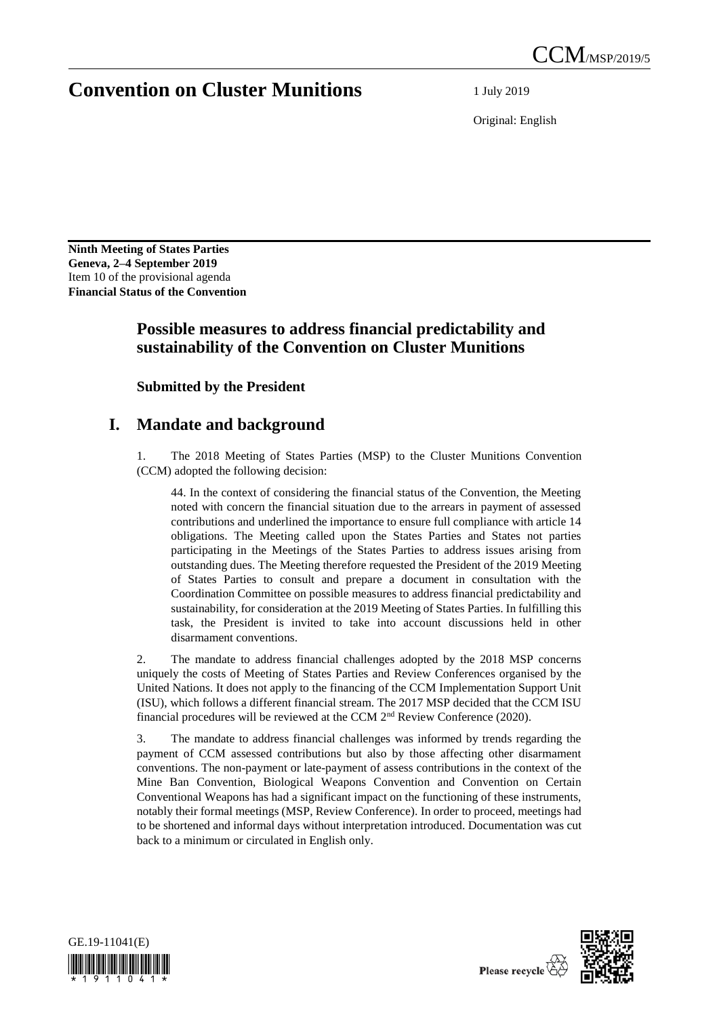# **Convention on Cluster Munitions** 1 July 2019

Original: English

**Ninth Meeting of States Parties Geneva, 2–4 September 2019** Item 10 of the provisional agenda **Financial Status of the Convention**

## **Possible measures to address financial predictability and sustainability of the Convention on Cluster Munitions**

**Submitted by the President**

## **I. Mandate and background**

The 2018 Meeting of States Parties (MSP) to the Cluster Munitions Convention (CCM) adopted the following decision:

44. In the context of considering the financial status of the Convention, the Meeting noted with concern the financial situation due to the arrears in payment of assessed contributions and underlined the importance to ensure full compliance with article 14 obligations. The Meeting called upon the States Parties and States not parties participating in the Meetings of the States Parties to address issues arising from outstanding dues. The Meeting therefore requested the President of the 2019 Meeting of States Parties to consult and prepare a document in consultation with the Coordination Committee on possible measures to address financial predictability and sustainability, for consideration at the 2019 Meeting of States Parties. In fulfilling this task, the President is invited to take into account discussions held in other disarmament conventions.

2. The mandate to address financial challenges adopted by the 2018 MSP concerns uniquely the costs of Meeting of States Parties and Review Conferences organised by the United Nations. It does not apply to the financing of the CCM Implementation Support Unit (ISU), which follows a different financial stream. The 2017 MSP decided that the CCM ISU financial procedures will be reviewed at the CCM  $2<sup>nd</sup>$  Review Conference (2020).

3. The mandate to address financial challenges was informed by trends regarding the payment of CCM assessed contributions but also by those affecting other disarmament conventions. The non-payment or late-payment of assess contributions in the context of the Mine Ban Convention, Biological Weapons Convention and Convention on Certain Conventional Weapons has had a significant impact on the functioning of these instruments, notably their formal meetings (MSP, Review Conference). In order to proceed, meetings had to be shortened and informal days without interpretation introduced. Documentation was cut back to a minimum or circulated in English only.



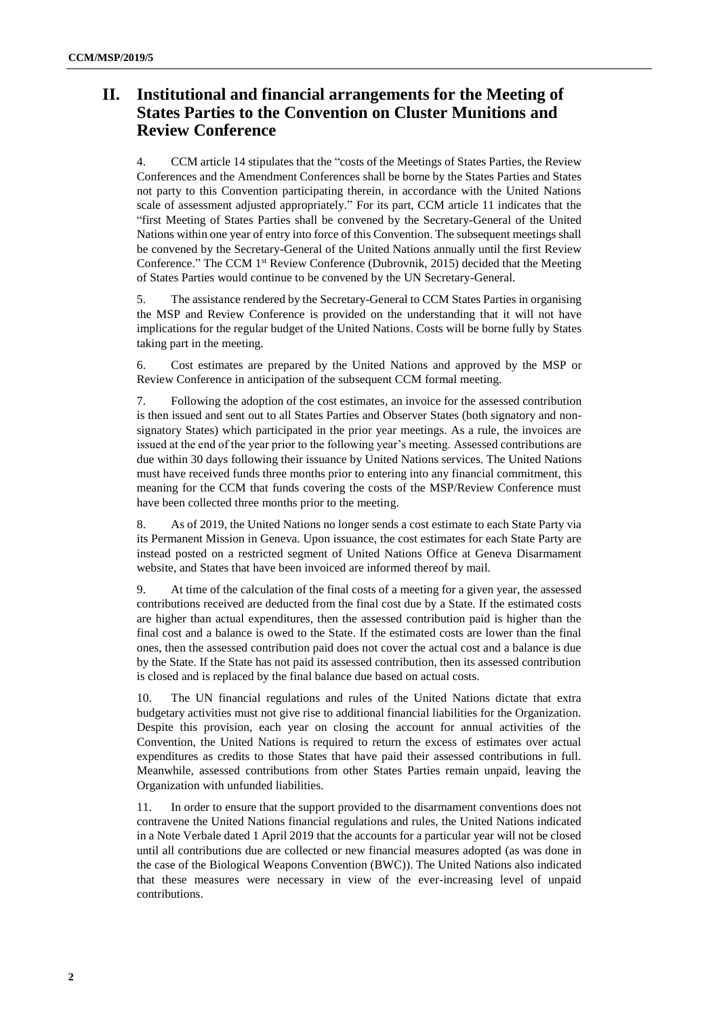## **II. Institutional and financial arrangements for the Meeting of States Parties to the Convention on Cluster Munitions and Review Conference**

4. CCM article 14 stipulates that the "costs of the Meetings of States Parties, the Review Conferences and the Amendment Conferences shall be borne by the States Parties and States not party to this Convention participating therein, in accordance with the United Nations scale of assessment adjusted appropriately." For its part, CCM article 11 indicates that the "first Meeting of States Parties shall be convened by the Secretary-General of the United Nations within one year of entry into force of this Convention. The subsequent meetings shall be convened by the Secretary-General of the United Nations annually until the first Review Conference." The CCM 1<sup>st</sup> Review Conference (Dubrovnik, 2015) decided that the Meeting of States Parties would continue to be convened by the UN Secretary-General.

5. The assistance rendered by the Secretary-General to CCM States Parties in organising the MSP and Review Conference is provided on the understanding that it will not have implications for the regular budget of the United Nations. Costs will be borne fully by States taking part in the meeting.

6. Cost estimates are prepared by the United Nations and approved by the MSP or Review Conference in anticipation of the subsequent CCM formal meeting.

7. Following the adoption of the cost estimates, an invoice for the assessed contribution is then issued and sent out to all States Parties and Observer States (both signatory and nonsignatory States) which participated in the prior year meetings. As a rule, the invoices are issued at the end of the year prior to the following year's meeting. Assessed contributions are due within 30 days following their issuance by United Nations services. The United Nations must have received funds three months prior to entering into any financial commitment, this meaning for the CCM that funds covering the costs of the MSP/Review Conference must have been collected three months prior to the meeting.

8. As of 2019, the United Nations no longer sends a cost estimate to each State Party via its Permanent Mission in Geneva. Upon issuance, the cost estimates for each State Party are instead posted on a restricted segment of United Nations Office at Geneva Disarmament website, and States that have been invoiced are informed thereof by mail.

9. At time of the calculation of the final costs of a meeting for a given year, the assessed contributions received are deducted from the final cost due by a State. If the estimated costs are higher than actual expenditures, then the assessed contribution paid is higher than the final cost and a balance is owed to the State. If the estimated costs are lower than the final ones, then the assessed contribution paid does not cover the actual cost and a balance is due by the State. If the State has not paid its assessed contribution, then its assessed contribution is closed and is replaced by the final balance due based on actual costs.

10. The UN financial regulations and rules of the United Nations dictate that extra budgetary activities must not give rise to additional financial liabilities for the Organization. Despite this provision, each year on closing the account for annual activities of the Convention, the United Nations is required to return the excess of estimates over actual expenditures as credits to those States that have paid their assessed contributions in full. Meanwhile, assessed contributions from other States Parties remain unpaid, leaving the Organization with unfunded liabilities.

11. In order to ensure that the support provided to the disarmament conventions does not contravene the United Nations financial regulations and rules, the United Nations indicated in a Note Verbale dated 1 April 2019 that the accounts for a particular year will not be closed until all contributions due are collected or new financial measures adopted (as was done in the case of the Biological Weapons Convention (BWC)). The United Nations also indicated that these measures were necessary in view of the ever-increasing level of unpaid contributions.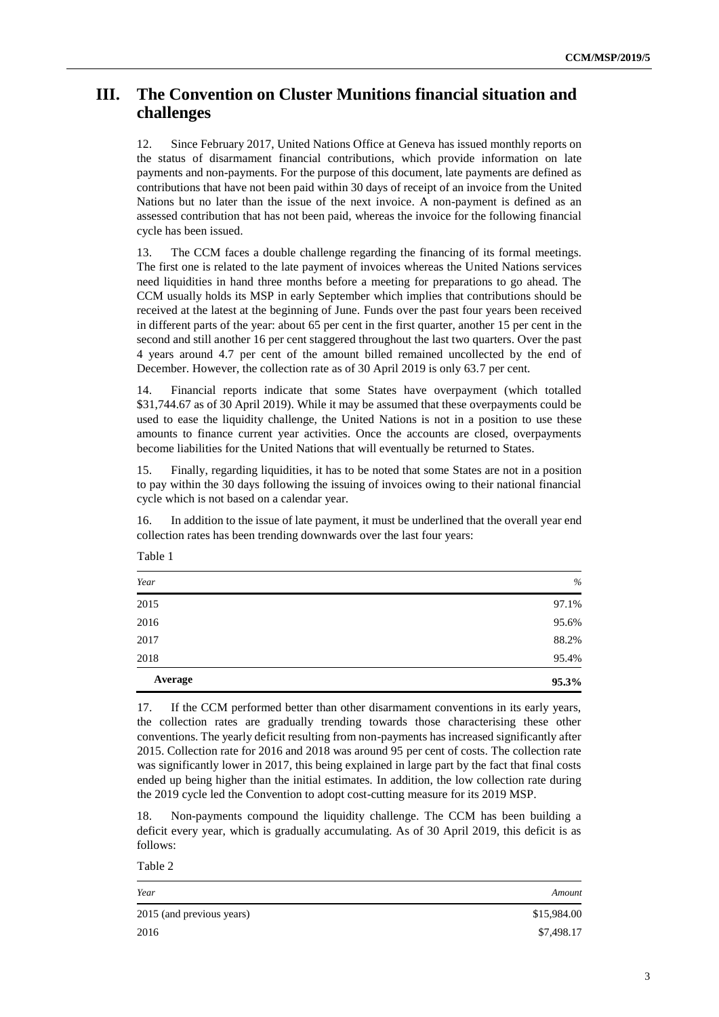### **III. The Convention on Cluster Munitions financial situation and challenges**

12. Since February 2017, United Nations Office at Geneva has issued monthly reports on the status of disarmament financial contributions, which provide information on late payments and non-payments. For the purpose of this document, late payments are defined as contributions that have not been paid within 30 days of receipt of an invoice from the United Nations but no later than the issue of the next invoice. A non-payment is defined as an assessed contribution that has not been paid, whereas the invoice for the following financial cycle has been issued.

13. The CCM faces a double challenge regarding the financing of its formal meetings. The first one is related to the late payment of invoices whereas the United Nations services need liquidities in hand three months before a meeting for preparations to go ahead. The CCM usually holds its MSP in early September which implies that contributions should be received at the latest at the beginning of June. Funds over the past four years been received in different parts of the year: about 65 per cent in the first quarter, another 15 per cent in the second and still another 16 per cent staggered throughout the last two quarters. Over the past 4 years around 4.7 per cent of the amount billed remained uncollected by the end of December. However, the collection rate as of 30 April 2019 is only 63.7 per cent.

14. Financial reports indicate that some States have overpayment (which totalled \$31,744.67 as of 30 April 2019). While it may be assumed that these overpayments could be used to ease the liquidity challenge, the United Nations is not in a position to use these amounts to finance current year activities. Once the accounts are closed, overpayments become liabilities for the United Nations that will eventually be returned to States.

15. Finally, regarding liquidities, it has to be noted that some States are not in a position to pay within the 30 days following the issuing of invoices owing to their national financial cycle which is not based on a calendar year.

16. In addition to the issue of late payment, it must be underlined that the overall year end collection rates has been trending downwards over the last four years:

| Year    | $\%$  |
|---------|-------|
| 2015    | 97.1% |
| 2016    | 95.6% |
| 2017    | 88.2% |
| 2018    | 95.4% |
| Average | 95.3% |

17. If the CCM performed better than other disarmament conventions in its early years, the collection rates are gradually trending towards those characterising these other conventions. The yearly deficit resulting from non-payments has increased significantly after 2015. Collection rate for 2016 and 2018 was around 95 per cent of costs. The collection rate was significantly lower in 2017, this being explained in large part by the fact that final costs ended up being higher than the initial estimates. In addition, the low collection rate during the 2019 cycle led the Convention to adopt cost-cutting measure for its 2019 MSP.

18. Non-payments compound the liquidity challenge. The CCM has been building a deficit every year, which is gradually accumulating. As of 30 April 2019, this deficit is as follows:

Table 2

Table 1

| Year                      | Amount      |
|---------------------------|-------------|
| 2015 (and previous years) | \$15,984.00 |
| 2016                      | \$7,498.17  |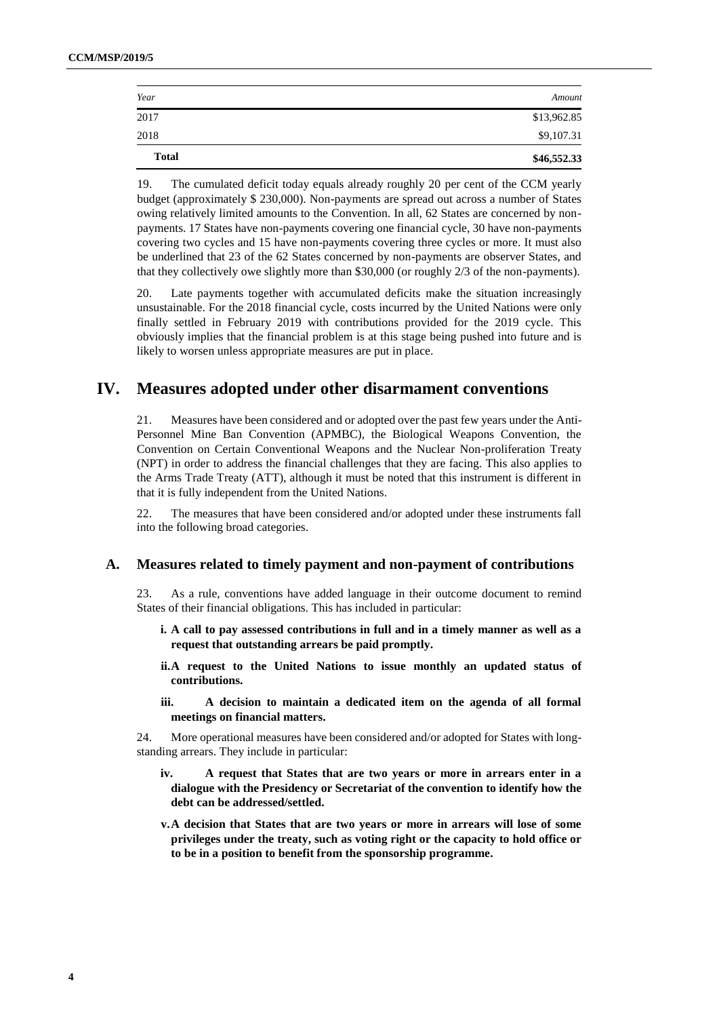| \$46,552.33 |
|-------------|
| \$9,107.31  |
| \$13,962.85 |
| Amount      |
|             |

19. The cumulated deficit today equals already roughly 20 per cent of the CCM yearly budget (approximately \$ 230,000). Non-payments are spread out across a number of States owing relatively limited amounts to the Convention. In all, 62 States are concerned by nonpayments. 17 States have non-payments covering one financial cycle, 30 have non-payments covering two cycles and 15 have non-payments covering three cycles or more. It must also be underlined that 23 of the 62 States concerned by non-payments are observer States, and that they collectively owe slightly more than \$30,000 (or roughly 2/3 of the non-payments).

20. Late payments together with accumulated deficits make the situation increasingly unsustainable. For the 2018 financial cycle, costs incurred by the United Nations were only finally settled in February 2019 with contributions provided for the 2019 cycle. This obviously implies that the financial problem is at this stage being pushed into future and is likely to worsen unless appropriate measures are put in place.

### **IV. Measures adopted under other disarmament conventions**

21. Measures have been considered and or adopted over the past few years under the Anti-Personnel Mine Ban Convention (APMBC), the Biological Weapons Convention, the Convention on Certain Conventional Weapons and the Nuclear Non-proliferation Treaty (NPT) in order to address the financial challenges that they are facing. This also applies to the Arms Trade Treaty (ATT), although it must be noted that this instrument is different in that it is fully independent from the United Nations.

22. The measures that have been considered and/or adopted under these instruments fall into the following broad categories.

#### **A. Measures related to timely payment and non-payment of contributions**

23. As a rule, conventions have added language in their outcome document to remind States of their financial obligations. This has included in particular:

- **i. A call to pay assessed contributions in full and in a timely manner as well as a request that outstanding arrears be paid promptly.**
- **ii.A request to the United Nations to issue monthly an updated status of contributions.**
- **iii. A decision to maintain a dedicated item on the agenda of all formal meetings on financial matters.**

24. More operational measures have been considered and/or adopted for States with longstanding arrears. They include in particular:

- **iv. A request that States that are two years or more in arrears enter in a dialogue with the Presidency or Secretariat of the convention to identify how the debt can be addressed/settled.**
- **v.A decision that States that are two years or more in arrears will lose of some privileges under the treaty, such as voting right or the capacity to hold office or to be in a position to benefit from the sponsorship programme.**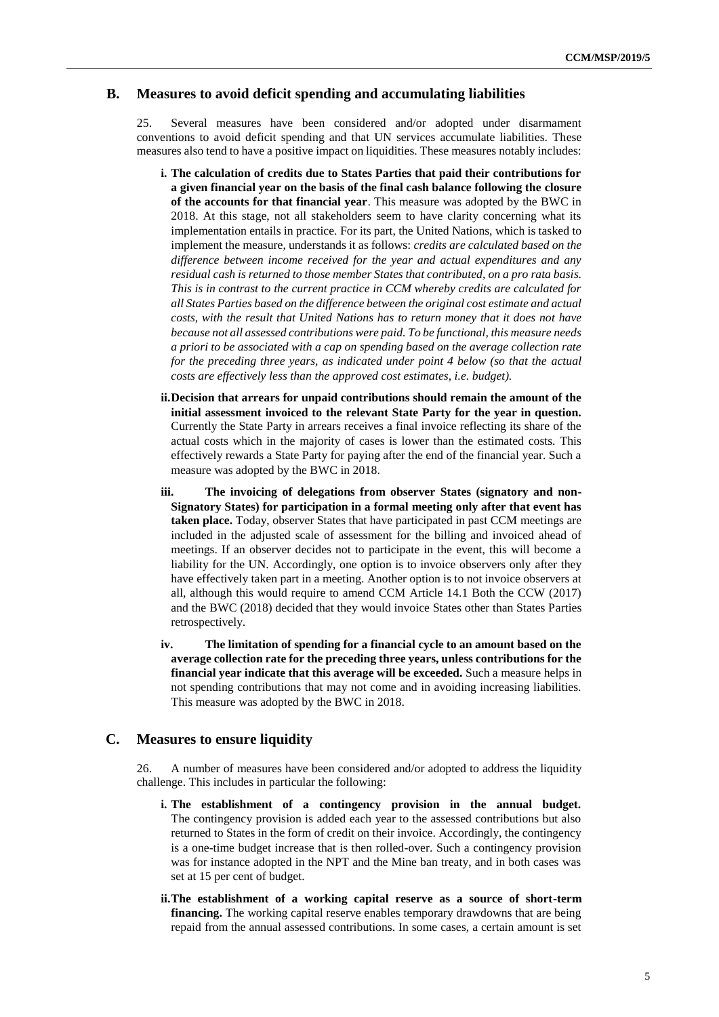#### **B. Measures to avoid deficit spending and accumulating liabilities**

25. Several measures have been considered and/or adopted under disarmament conventions to avoid deficit spending and that UN services accumulate liabilities. These measures also tend to have a positive impact on liquidities. These measures notably includes:

- **i. The calculation of credits due to States Parties that paid their contributions for a given financial year on the basis of the final cash balance following the closure of the accounts for that financial year**. This measure was adopted by the BWC in 2018. At this stage, not all stakeholders seem to have clarity concerning what its implementation entails in practice. For its part, the United Nations, which is tasked to implement the measure, understands it as follows: *credits are calculated based on the difference between income received for the year and actual expenditures and any residual cash is returned to those member States that contributed, on a pro rata basis. This is in contrast to the current practice in CCM whereby credits are calculated for all States Parties based on the difference between the original cost estimate and actual costs, with the result that United Nations has to return money that it does not have because not all assessed contributions were paid. To be functional, this measure needs a priori to be associated with a cap on spending based on the average collection rate for the preceding three years, as indicated under point 4 below (so that the actual costs are effectively less than the approved cost estimates, i.e. budget).*
- **ii.Decision that arrears for unpaid contributions should remain the amount of the initial assessment invoiced to the relevant State Party for the year in question.**  Currently the State Party in arrears receives a final invoice reflecting its share of the actual costs which in the majority of cases is lower than the estimated costs. This effectively rewards a State Party for paying after the end of the financial year. Such a measure was adopted by the BWC in 2018.
- **iii. The invoicing of delegations from observer States (signatory and non-Signatory States) for participation in a formal meeting only after that event has taken place.** Today, observer States that have participated in past CCM meetings are included in the adjusted scale of assessment for the billing and invoiced ahead of meetings. If an observer decides not to participate in the event, this will become a liability for the UN. Accordingly, one option is to invoice observers only after they have effectively taken part in a meeting. Another option is to not invoice observers at all, although this would require to amend CCM Article 14.1 Both the CCW (2017) and the BWC (2018) decided that they would invoice States other than States Parties retrospectively.
- **iv. The limitation of spending for a financial cycle to an amount based on the average collection rate for the preceding three years, unless contributions for the financial year indicate that this average will be exceeded.** Such a measure helps in not spending contributions that may not come and in avoiding increasing liabilities. This measure was adopted by the BWC in 2018.

#### **C. Measures to ensure liquidity**

26. A number of measures have been considered and/or adopted to address the liquidity challenge. This includes in particular the following:

- **i. The establishment of a contingency provision in the annual budget.**  The contingency provision is added each year to the assessed contributions but also returned to States in the form of credit on their invoice. Accordingly, the contingency is a one-time budget increase that is then rolled-over. Such a contingency provision was for instance adopted in the NPT and the Mine ban treaty, and in both cases was set at 15 per cent of budget.
- **ii.The establishment of a working capital reserve as a source of short-term financing.** The working capital reserve enables temporary drawdowns that are being repaid from the annual assessed contributions. In some cases, a certain amount is set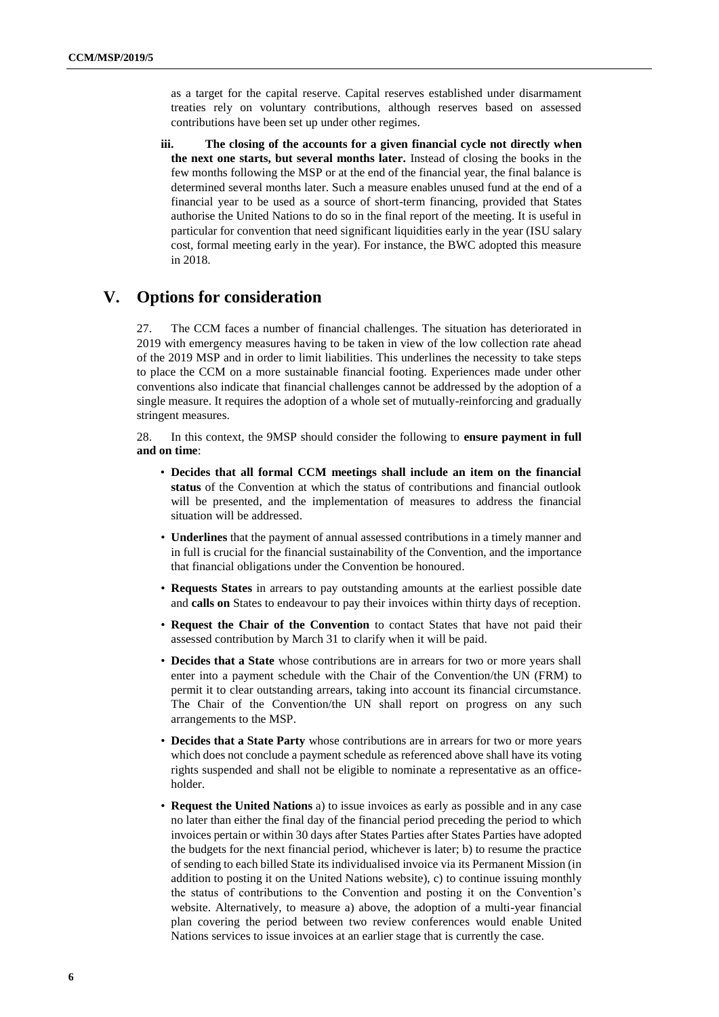as a target for the capital reserve. Capital reserves established under disarmament treaties rely on voluntary contributions, although reserves based on assessed contributions have been set up under other regimes.

**iii. The closing of the accounts for a given financial cycle not directly when the next one starts, but several months later.** Instead of closing the books in the few months following the MSP or at the end of the financial year, the final balance is determined several months later. Such a measure enables unused fund at the end of a financial year to be used as a source of short-term financing, provided that States authorise the United Nations to do so in the final report of the meeting. It is useful in particular for convention that need significant liquidities early in the year (ISU salary cost, formal meeting early in the year). For instance, the BWC adopted this measure in 2018.

### **V. Options for consideration**

27. The CCM faces a number of financial challenges. The situation has deteriorated in 2019 with emergency measures having to be taken in view of the low collection rate ahead of the 2019 MSP and in order to limit liabilities. This underlines the necessity to take steps to place the CCM on a more sustainable financial footing. Experiences made under other conventions also indicate that financial challenges cannot be addressed by the adoption of a single measure. It requires the adoption of a whole set of mutually-reinforcing and gradually stringent measures.

28. In this context, the 9MSP should consider the following to **ensure payment in full and on time**:

- **Decides that all formal CCM meetings shall include an item on the financial status** of the Convention at which the status of contributions and financial outlook will be presented, and the implementation of measures to address the financial situation will be addressed.
- **Underlines** that the payment of annual assessed contributions in a timely manner and in full is crucial for the financial sustainability of the Convention, and the importance that financial obligations under the Convention be honoured.
- **Requests States** in arrears to pay outstanding amounts at the earliest possible date and **calls on** States to endeavour to pay their invoices within thirty days of reception.
- **Request the Chair of the Convention** to contact States that have not paid their assessed contribution by March 31 to clarify when it will be paid.
- **Decides that a State** whose contributions are in arrears for two or more years shall enter into a payment schedule with the Chair of the Convention/the UN (FRM) to permit it to clear outstanding arrears, taking into account its financial circumstance. The Chair of the Convention/the UN shall report on progress on any such arrangements to the MSP.
- **Decides that a State Party** whose contributions are in arrears for two or more years which does not conclude a payment schedule as referenced above shall have its voting rights suspended and shall not be eligible to nominate a representative as an officeholder.
- **Request the United Nations** a) to issue invoices as early as possible and in any case no later than either the final day of the financial period preceding the period to which invoices pertain or within 30 days after States Parties after States Parties have adopted the budgets for the next financial period, whichever is later; b) to resume the practice of sending to each billed State its individualised invoice via its Permanent Mission (in addition to posting it on the United Nations website), c) to continue issuing monthly the status of contributions to the Convention and posting it on the Convention's website. Alternatively, to measure a) above, the adoption of a multi-year financial plan covering the period between two review conferences would enable United Nations services to issue invoices at an earlier stage that is currently the case.